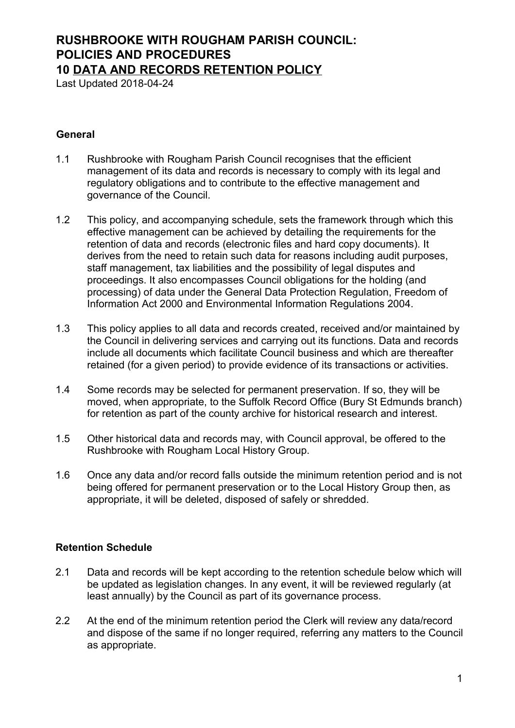### **RUSHBROOKE WITH ROUGHAM PARISH COUNCIL: POLICIES AND PROCEDURES 10 DATA AND RECORDS RETENTION POLICY**

Last Updated 2018-04-24

### **General**

- 1.1 Rushbrooke with Rougham Parish Council recognises that the efficient management of its data and records is necessary to comply with its legal and regulatory obligations and to contribute to the effective management and governance of the Council.
- 1.2 This policy, and accompanying schedule, sets the framework through which this effective management can be achieved by detailing the requirements for the retention of data and records (electronic files and hard copy documents). It derives from the need to retain such data for reasons including audit purposes, staff management, tax liabilities and the possibility of legal disputes and proceedings. It also encompasses Council obligations for the holding (and processing) of data under the General Data Protection Regulation, Freedom of Information Act 2000 and Environmental Information Regulations 2004.
- 1.3 This policy applies to all data and records created, received and/or maintained by the Council in delivering services and carrying out its functions. Data and records include all documents which facilitate Council business and which are thereafter retained (for a given period) to provide evidence of its transactions or activities.
- 1.4 Some records may be selected for permanent preservation. If so, they will be moved, when appropriate, to the Suffolk Record Office (Bury St Edmunds branch) for retention as part of the county archive for historical research and interest.
- 1.5 Other historical data and records may, with Council approval, be offered to the Rushbrooke with Rougham Local History Group.
- 1.6 Once any data and/or record falls outside the minimum retention period and is not being offered for permanent preservation or to the Local History Group then, as appropriate, it will be deleted, disposed of safely or shredded.

#### **Retention Schedule**

- 2.1 Data and records will be kept according to the retention schedule below which will be updated as legislation changes. In any event, it will be reviewed regularly (at least annually) by the Council as part of its governance process.
- 2.2 At the end of the minimum retention period the Clerk will review any data/record and dispose of the same if no longer required, referring any matters to the Council as appropriate.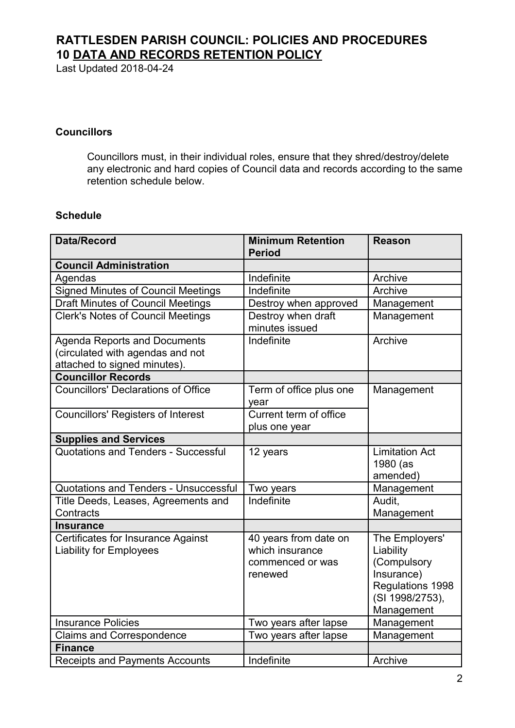## **RATTLESDEN PARISH COUNCIL: POLICIES AND PROCEDURES 10 DATA AND RECORDS RETENTION POLICY**

Last Updated 2018-04-24

### **Councillors**

Councillors must, in their individual roles, ensure that they shred/destroy/delete any electronic and hard copies of Council data and records according to the same retention schedule below.

#### **Schedule**

| <b>Data/Record</b>                                                                                      | <b>Minimum Retention</b><br><b>Period</b>                               | <b>Reason</b>                                                                                                 |
|---------------------------------------------------------------------------------------------------------|-------------------------------------------------------------------------|---------------------------------------------------------------------------------------------------------------|
| <b>Council Administration</b>                                                                           |                                                                         |                                                                                                               |
| Agendas                                                                                                 | Indefinite                                                              | Archive                                                                                                       |
| <b>Signed Minutes of Council Meetings</b>                                                               | Indefinite                                                              | Archive                                                                                                       |
| <b>Draft Minutes of Council Meetings</b>                                                                | Destroy when approved                                                   | Management                                                                                                    |
| <b>Clerk's Notes of Council Meetings</b>                                                                | Destroy when draft<br>minutes issued                                    | Management                                                                                                    |
| <b>Agenda Reports and Documents</b><br>(circulated with agendas and not<br>attached to signed minutes). | Indefinite                                                              | Archive                                                                                                       |
| <b>Councillor Records</b>                                                                               |                                                                         |                                                                                                               |
| <b>Councillors' Declarations of Office</b>                                                              | Term of office plus one<br>year                                         | Management                                                                                                    |
| <b>Councillors' Registers of Interest</b>                                                               | Current term of office<br>plus one year                                 |                                                                                                               |
| <b>Supplies and Services</b>                                                                            |                                                                         |                                                                                                               |
| Quotations and Tenders - Successful                                                                     | 12 years                                                                | <b>Limitation Act</b><br>1980 (as<br>amended)                                                                 |
| Quotations and Tenders - Unsuccessful                                                                   | Two years                                                               | Management                                                                                                    |
| Title Deeds, Leases, Agreements and<br>Contracts                                                        | Indefinite                                                              | Audit.<br>Management                                                                                          |
| <b>Insurance</b>                                                                                        |                                                                         |                                                                                                               |
| <b>Certificates for Insurance Against</b><br><b>Liability for Employees</b>                             | 40 years from date on<br>which insurance<br>commenced or was<br>renewed | The Employers'<br>Liability<br>(Compulsory<br>Insurance)<br>Regulations 1998<br>(SI 1998/2753),<br>Management |
| <b>Insurance Policies</b>                                                                               | Two years after lapse                                                   | Management                                                                                                    |
| <b>Claims and Correspondence</b>                                                                        | Two years after lapse                                                   | Management                                                                                                    |
| <b>Finance</b>                                                                                          |                                                                         |                                                                                                               |
| <b>Receipts and Payments Accounts</b>                                                                   | Indefinite                                                              | Archive                                                                                                       |